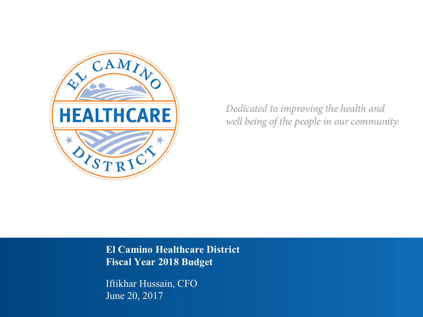

Dedicated to improving the health and well being of the people in our community.

**El Camino Healthcare District Fiscal Year 2018 Budget**

Iftikhar Hussain, CFO June 20, 2017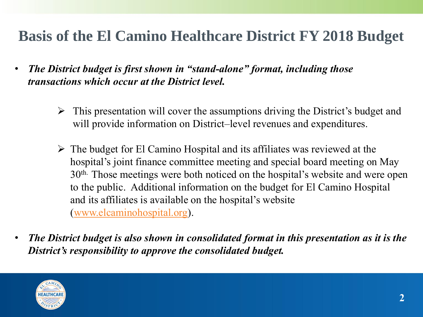# **Basis of the El Camino Healthcare District FY 2018 Budget**

- *The District budget is first shown in "stand-alone" format, including those transactions which occur at the District level.*
	- This presentation will cover the assumptions driving the District's budget and will provide information on District–level revenues and expenditures.
	- $\triangleright$  The budget for El Camino Hospital and its affiliates was reviewed at the hospital's joint finance committee meeting and special board meeting on May 30th. Those meetings were both noticed on the hospital's website and were open to the public. Additional information on the budget for El Camino Hospital and its affiliates is available on the hospital's website ([www.elcaminohospital.org](http://www.elcaminohospital.org/)).
- *The District budget is also shown in consolidated format in this presentation as it is the District's responsibility to approve the consolidated budget.*

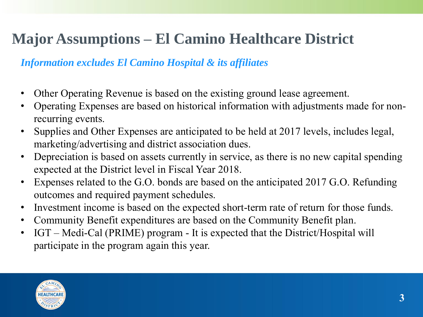# **Major Assumptions – El Camino Healthcare District**

#### *Information excludes El Camino Hospital & its affiliates*

- Other Operating Revenue is based on the existing ground lease agreement.
- Operating Expenses are based on historical information with adjustments made for nonrecurring events.
- Supplies and Other Expenses are anticipated to be held at 2017 levels, includes legal, marketing/advertising and district association dues.
- Depreciation is based on assets currently in service, as there is no new capital spending expected at the District level in Fiscal Year 2018.
- Expenses related to the G.O. bonds are based on the anticipated 2017 G.O. Refunding outcomes and required payment schedules.
- Investment income is based on the expected short-term rate of return for those funds.
- Community Benefit expenditures are based on the Community Benefit plan.
- IGT Medi-Cal (PRIME) program It is expected that the District/Hospital will participate in the program again this year.

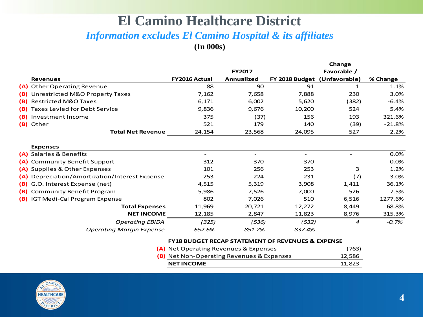#### **El Camino Healthcare District**  *Information excludes El Camino Hospital & its affiliates*  **(In 000s)**

|                                                |               |                   | Change                       |                  |          |  |
|------------------------------------------------|---------------|-------------------|------------------------------|------------------|----------|--|
|                                                |               | <b>FY2017</b>     |                              | Favorable /      |          |  |
| <b>Revenues</b>                                | FY2016 Actual | <b>Annualized</b> | FY 2018 Budget (Unfavorable) |                  | % Change |  |
| (A) Other Operating Revenue                    | 88            | 90                | 91                           | $\mathbf{1}$     | 1.1%     |  |
| (B) Unrestricted M&O Property Taxes            | 7,162         | 7,658             | 7,888                        | 230              | 3.0%     |  |
| (B) Restricted M&O Taxes                       | 6,171         | 6,002             | 5,620                        | (382)            | $-6.4%$  |  |
| (B) Taxes Levied for Debt Service              | 9,836         | 9,676             | 10,200                       | 524              | 5.4%     |  |
| (B) Investment Income                          | 375           | (37)              | 156                          | 193              | 321.6%   |  |
| (B) Other                                      | 521           | 179               | 140                          | (39)             | $-21.8%$ |  |
| <b>Total Net Revenue</b>                       | 24,154        | 23,568            | 24,095                       | 527              | 2.2%     |  |
|                                                |               |                   |                              |                  |          |  |
| <b>Expenses</b>                                |               |                   |                              |                  |          |  |
| (A) Salaries & Benefits                        |               |                   |                              |                  | 0.0%     |  |
| (A) Community Benefit Support                  | 312           | 370               | 370                          |                  | 0.0%     |  |
| (A) Supplies & Other Expenses                  | 101           | 256               | 253                          | 3                | 1.2%     |  |
| (A) Depreciation/Amortization/Interest Expense | 253           | 224               | 231                          | (7)              | $-3.0%$  |  |
| (B) G.O. Interest Expense (net)                | 4,515         | 5,319             | 3,908                        | 1,411            | 36.1%    |  |
| (B) Community Benefit Program                  | 5,986         | 7,526             | 7,000                        | 526              | 7.5%     |  |
| (B) IGT Medi-Cal Program Expense               | 802           | 7,026             | 510                          | 6,516            | 1277.6%  |  |
| <b>Total Expenses</b>                          | 11,969        | 20,721            | 12,272                       | 8,449            | 68.8%    |  |
| <b>NET INCOME</b>                              | 12,185        | 2,847             | 11,823                       | 8,976            | 315.3%   |  |
| <b>Operating EBIDA</b>                         | (325)         | (536)             | (532)                        | $\boldsymbol{4}$ | $-0.7\%$ |  |
| <b>Operating Margin Expense</b>                | $-652.6%$     | -851.2%           | $-837.4%$                    |                  |          |  |
|                                                |               |                   |                              |                  |          |  |

#### **FY18 BUDGET RECAP STATEMENT OF REVENUES & EXPENSE**

| <b>NET INCOME</b>                                | 11,823 |
|--------------------------------------------------|--------|
| <b>(B)</b> Net Non-Operating Revenues & Expenses | 12,586 |
| (A) Net Operating Revenues & Expenses            | (763)  |

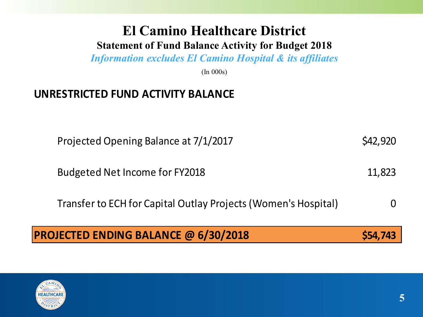# **El Camino Healthcare District**

#### **Statement of Fund Balance Activity for Budget 2018**

*Information excludes El Camino Hospital & its affiliates*

(In 000s)

#### **UNRESTRICTED FUND ACTIVITY BALANCE**

Projected Opening Balance at 7/1/2017 \$42,920

Budgeted Net Income for FY2018 11,823

Transfer to ECH for Capital Outlay Projects (Women's Hospital) 0

#### **PROJECTED ENDING BALANCE @ 6/30/2018 \$54,743**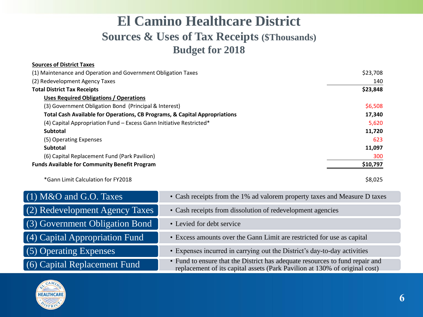### **El Camino Healthcare District Sources & Uses of Tax Receipts (\$Thousands) Budget for 2018**

| <b>Sources of District Taxes</b>                                           |          |
|----------------------------------------------------------------------------|----------|
| (1) Maintenance and Operation and Government Obligation Taxes              | \$23,708 |
| (2) Redevelopment Agency Taxes                                             | 140      |
| <b>Total District Tax Receipts</b>                                         | \$23,848 |
| <b>Uses Required Obligations / Operations</b>                              |          |
| (3) Government Obligation Bond (Principal & Interest)                      | \$6,508  |
| Total Cash Available for Operations, CB Programs, & Capital Appropriations | 17,340   |
| (4) Capital Appropriation Fund - Excess Gann Initiative Restricted*        | 5,620    |
| <b>Subtotal</b>                                                            | 11,720   |
| (5) Operating Expenses                                                     | 623      |
| <b>Subtotal</b>                                                            | 11,097   |
| (6) Capital Replacement Fund (Park Pavilion)                               | 300      |
| <b>Funds Available for Community Benefit Program</b>                       | \$10,797 |
| *Gann Limit Calculation for FY2018                                         | \$8,025  |

| $(1)$ M&O and G.O. Taxes       | • Cash receipts from the 1% ad valorem property taxes and Measure D taxes                                                                                  |
|--------------------------------|------------------------------------------------------------------------------------------------------------------------------------------------------------|
| (2) Redevelopment Agency Taxes | • Cash receipts from dissolution of redevelopment agencies                                                                                                 |
| (3) Government Obligation Bond | • Levied for debt service                                                                                                                                  |
| (4) Capital Appropriation Fund | • Excess amounts over the Gann Limit are restricted for use as capital                                                                                     |
| (5) Operating Expenses         | • Expenses incurred in carrying out the District's day-to-day activities                                                                                   |
| (6) Capital Replacement Fund   | • Fund to ensure that the District has adequate resources to fund repair and<br>replacement of its capital assets (Park Pavilion at 130% of original cost) |

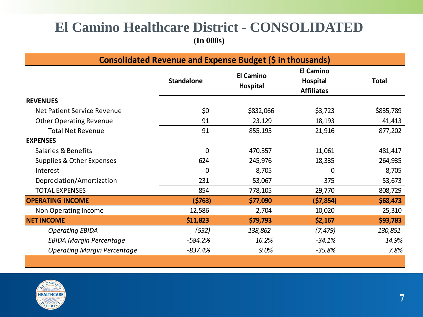#### **El Camino Healthcare District - CONSOLIDATED (In 000s)**

| Consolidated Revenue and Expense Budget (\$ in thousands) |                   |                              |                                                   |              |  |  |
|-----------------------------------------------------------|-------------------|------------------------------|---------------------------------------------------|--------------|--|--|
|                                                           | <b>Standalone</b> | <b>El Camino</b><br>Hospital | <b>El Camino</b><br>Hospital<br><b>Affiliates</b> | <b>Total</b> |  |  |
| <b>REVENUES</b>                                           |                   |                              |                                                   |              |  |  |
| Net Patient Service Revenue                               | \$0               | \$832,066                    | \$3,723                                           | \$835,789    |  |  |
| <b>Other Operating Revenue</b>                            | 91                | 23,129                       | 18,193                                            | 41,413       |  |  |
| <b>Total Net Revenue</b>                                  | 91                | 855,195                      | 21,916                                            | 877,202      |  |  |
| <b>EXPENSES</b>                                           |                   |                              |                                                   |              |  |  |
| Salaries & Benefits                                       | 0                 | 470,357                      | 11,061                                            | 481,417      |  |  |
| Supplies & Other Expenses                                 | 624               | 245,976                      | 18,335                                            | 264,935      |  |  |
| Interest                                                  | 0                 | 8,705                        | 0                                                 | 8,705        |  |  |
| Depreciation/Amortization                                 | 231               | 53,067                       | 375                                               | 53,673       |  |  |
| <b>TOTAL EXPENSES</b>                                     | 854               | 778,105                      | 29,770                                            | 808,729      |  |  |
| <b>OPERATING INCOME</b>                                   | (5763)            | \$77,090                     | (57, 854)                                         | \$68,473     |  |  |
| Non Operating Income                                      | 12,586            | 2,704                        | 10,020                                            | 25,310       |  |  |
| <b>NET INCOME</b>                                         | \$11,823          | \$79,793                     | \$2,167                                           | \$93,783     |  |  |
| <b>Operating EBIDA</b>                                    | (532)             | 138,862                      | (7, 479)                                          | 130,851      |  |  |
| <b>EBIDA Margin Percentage</b>                            | $-584.2%$         | 16.2%                        | $-34.1%$                                          | 14.9%        |  |  |
| <b>Operating Margin Percentage</b>                        | $-837.4%$         | 9.0%                         | $-35.8%$                                          | 7.8%         |  |  |
|                                                           |                   |                              |                                                   |              |  |  |

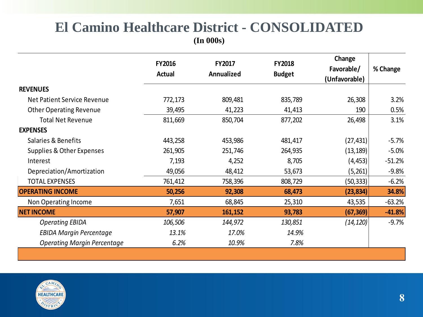# **El Camino Healthcare District - CONSOLIDATED**

**(In 000s)**

|                                    | <b>FY2016</b><br><b>Actual</b> | <b>FY2017</b><br>Annualized | <b>FY2018</b><br><b>Budget</b> | Change<br>Favorable/<br>(Unfavorable) | % Change |
|------------------------------------|--------------------------------|-----------------------------|--------------------------------|---------------------------------------|----------|
| <b>REVENUES</b>                    |                                |                             |                                |                                       |          |
| Net Patient Service Revenue        | 772,173                        | 809,481                     | 835,789                        | 26,308                                | 3.2%     |
| <b>Other Operating Revenue</b>     | 39,495                         | 41,223                      | 41,413                         | 190                                   | 0.5%     |
| <b>Total Net Revenue</b>           | 811,669                        | 850,704                     | 877,202                        | 26,498                                | 3.1%     |
| <b>EXPENSES</b>                    |                                |                             |                                |                                       |          |
| Salaries & Benefits                | 443,258                        | 453,986                     | 481,417                        | (27,431)                              | $-5.7\%$ |
| Supplies & Other Expenses          | 261,905                        | 251,746                     | 264,935                        | (13, 189)                             | $-5.0%$  |
| Interest                           | 7,193                          | 4,252                       | 8,705                          | (4, 453)                              | $-51.2%$ |
| Depreciation/Amortization          | 49,056                         | 48,412                      | 53,673                         | (5,261)                               | $-9.8%$  |
| <b>TOTAL EXPENSES</b>              | 761,412                        | 758,396                     | 808,729                        | (50,333)                              | $-6.2%$  |
| <b>OPERATING INCOME</b>            | 50,256                         | 92,308                      | 68,473                         | (23, 834)                             | 34.8%    |
| Non Operating Income               | 7,651                          | 68,845                      | 25,310                         | 43,535                                | $-63.2%$ |
| <b>NET INCOME</b>                  | 57,907                         | 161,152                     | 93,783                         | (67, 369)                             | $-41.8%$ |
| <b>Operating EBIDA</b>             | 106,506                        | 144,972                     | 130,851                        | (14, 120)                             | $-9.7%$  |
| <b>EBIDA Margin Percentage</b>     | 13.1%                          | 17.0%                       | 14.9%                          |                                       |          |
| <b>Operating Margin Percentage</b> | 6.2%                           | 10.9%                       | 7.8%                           |                                       |          |
|                                    |                                |                             |                                |                                       |          |

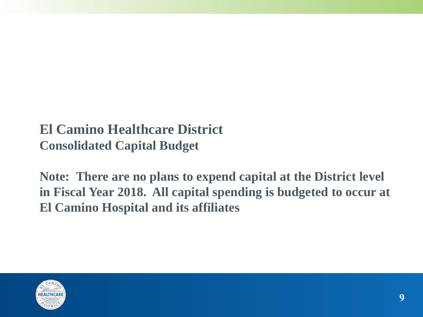### **El Camino Healthcare District Consolidated Capital Budget**

**Note: There are no plans to expend capital at the District level in Fiscal Year 2018. All capital spending is budgeted to occur at El Camino Hospital and its affiliates**

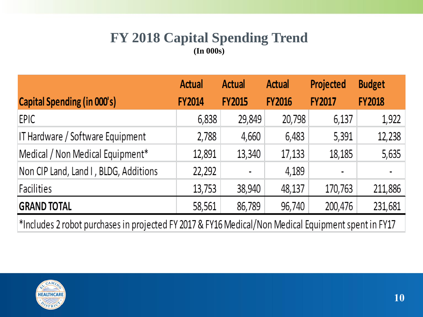#### **FY 2018 Capital Spending Trend (In 000s)**

|                                       | <b>Actual</b> | <b>Actual</b>  | <b>Actual</b> | Projected     | <b>Budget</b> |
|---------------------------------------|---------------|----------------|---------------|---------------|---------------|
| <b>Capital Spending (in 000's)</b>    | <b>FY2014</b> | <b>FY2015</b>  | <b>FY2016</b> | <b>FY2017</b> | <b>FY2018</b> |
| EPIC                                  | 6,838         | 29,849         | 20,798        | 6,137         | 1,922         |
| IT Hardware / Software Equipment      | 2,788         | 4,660          | 6,483         | 5,391         | 12,238        |
| Medical / Non Medical Equipment*      | 12,891        | 13,340         | 17,133        | 18,185        | 5,635         |
| Non CIP Land, Land I, BLDG, Additions | 22,292        | $\blacksquare$ | 4,189         | ٠             |               |
| Facilities                            | 13,753        | 38,940         | 48,137        | 170,763       | 211,886       |
| <b>GRAND TOTAL</b>                    | 58,561        | 86,789         | 96,740        | 200,476       | 231,681       |
|                                       |               |                |               |               |               |

\*Includes 2 robot purchases in projected FY 2017 & FY16 Medical/Non Medical Equipment spent in FY17

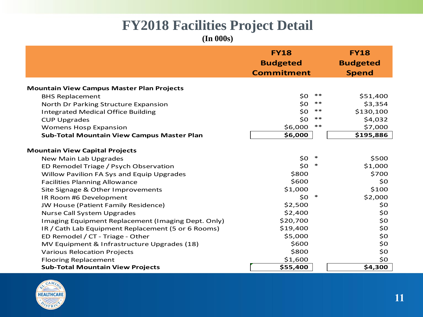# **FY2018 Facilities Project Detail**

**(In 000s)**

|                                                    | <b>FY18</b><br><b>Budgeted</b><br><b>Commitment</b> |        | <b>FY18</b><br><b>Budgeted</b><br><b>Spend</b> |
|----------------------------------------------------|-----------------------------------------------------|--------|------------------------------------------------|
| <b>Mountain View Campus Master Plan Projects</b>   |                                                     |        |                                                |
| <b>BHS Replacement</b>                             | \$0                                                 | $***$  | \$51,400                                       |
| North Dr Parking Structure Expansion               | \$0                                                 | $***$  | \$3,354                                        |
| <b>Integrated Medical Office Building</b>          | \$0                                                 | $***$  | \$130,100                                      |
| <b>CUP Upgrades</b>                                | \$0                                                 | $**$   | \$4,032                                        |
| <b>Womens Hosp Expansion</b>                       | \$6,000                                             | $***$  | \$7,000                                        |
| <b>Sub-Total Mountain View Campus Master Plan</b>  | \$6,000                                             |        | \$195,886                                      |
| <b>Mountain View Capital Projects</b>              |                                                     |        |                                                |
| New Main Lab Upgrades                              | \$0                                                 | $\ast$ | \$500                                          |
| ED Remodel Triage / Psych Observation              | \$0                                                 | ∗      | \$1,000                                        |
| Willow Pavilion FA Sys and Equip Upgrades          | \$800                                               |        | \$700                                          |
| <b>Facilities Planning Allowance</b>               | \$600                                               |        | \$0                                            |
| Site Signage & Other Improvements                  | \$1,000                                             |        | \$100                                          |
| IR Room #6 Development                             | \$0                                                 | $\ast$ | \$2,000                                        |
| JW House (Patient Family Residence)                | \$2,500                                             |        | \$0                                            |
| <b>Nurse Call System Upgrades</b>                  | \$2,400                                             |        | \$0                                            |
| Imaging Equipment Replacement (Imaging Dept. Only) | \$20,700                                            |        | \$0                                            |
| IR / Cath Lab Equipment Replacement (5 or 6 Rooms) | \$19,400                                            |        | \$0                                            |
| ED Remodel / CT - Triage - Other                   | \$5,000                                             |        | \$0                                            |
| MV Equipment & Infrastructure Upgrades (18)        | \$600                                               |        | \$0                                            |
| <b>Various Relocation Projects</b>                 | \$800                                               |        | \$0                                            |
| <b>Flooring Replacement</b>                        | \$1,600                                             |        | \$0                                            |
| <b>Sub-Total Mountain View Projects</b>            | \$55,400                                            |        | \$4,300                                        |
|                                                    |                                                     |        |                                                |